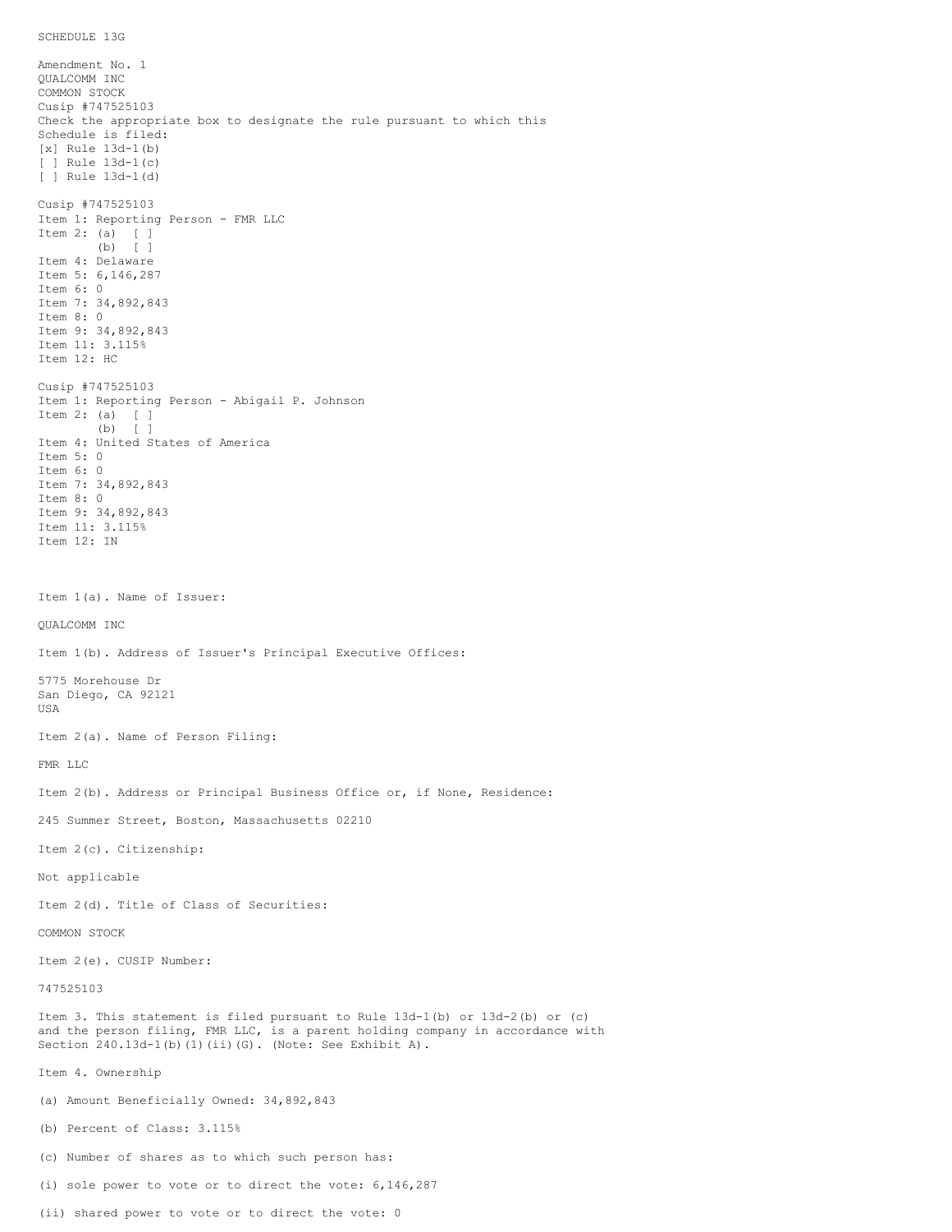Amendment No. 1 QUALCOMM INC COMMON STOCK Cusip #747525103 Check the appropriate box to designate the rule pursuant to which this Schedule is filed: [x] Rule 13d-1(b) [ ] Rule 13d-1(c) [ ] Rule 13d-1(d) Cusip #747525103 Item 1: Reporting Person - FMR LLC Item 2: (a) [ ] (b) [ ] Item 4: Delaware Item 5: 6,146,287 Item 6: 0 Item 7: 34,892,843 Item 8: 0 Item 9: 34,892,843 Item 11: 3.115% Item 12: HC Cusip #747525103 Item 1: Reporting Person - Abigail P. Johnson Item 2: (a) [ ] (b) [ ] Item 4: United States of America Item 5: 0 Item 6: 0 Item 7: 34,892,843 Item 8: 0 Item 9: 34,892,843 Item 11: 3.115% Item 12: IN Item 1(a). Name of Issuer: QUALCOMM INC Item 1(b). Address of Issuer's Principal Executive Offices: 5775 Morehouse Dr San Diego, CA 92121 USA Item 2(a). Name of Person Filing: FMR LLC Item 2(b). Address or Principal Business Office or, if None, Residence: 245 Summer Street, Boston, Massachusetts 02210 Item 2(c). Citizenship: Not applicable Item 2(d). Title of Class of Securities: COMMON STOCK Item 2(e). CUSIP Number: 747525103 Item 3. This statement is filed pursuant to Rule 13d-1(b) or 13d-2(b) or (c) and the person filing, FMR LLC, is a parent holding company in accordance with Section 240.13d-1(b)(1)(ii)(G). (Note: See Exhibit A). Item 4. Ownership (a) Amount Beneficially Owned: 34,892,843 (b) Percent of Class: 3.115% (c) Number of shares as to which such person has: (i) sole power to vote or to direct the vote: 6,146,287

(ii) shared power to vote or to direct the vote: 0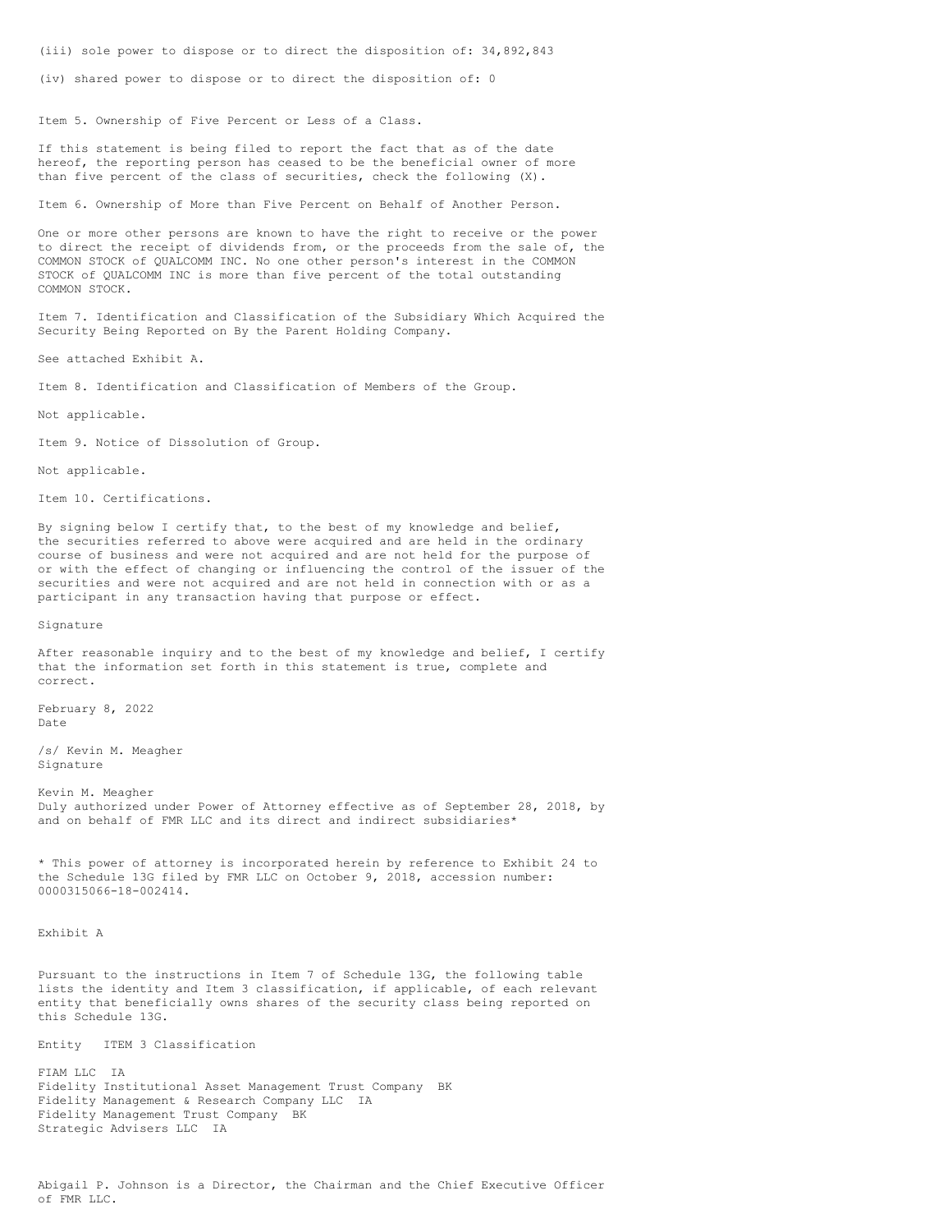(iii) sole power to dispose or to direct the disposition of: 34,892,843

(iv) shared power to dispose or to direct the disposition of: 0

Item 5. Ownership of Five Percent or Less of a Class.

If this statement is being filed to report the fact that as of the date hereof, the reporting person has ceased to be the beneficial owner of more than five percent of the class of securities, check the following (X).

Item 6. Ownership of More than Five Percent on Behalf of Another Person.

One or more other persons are known to have the right to receive or the power to direct the receipt of dividends from, or the proceeds from the sale of, the COMMON STOCK of QUALCOMM INC. No one other person's interest in the COMMON STOCK of QUALCOMM INC is more than five percent of the total outstanding COMMON STOCK.

Item 7. Identification and Classification of the Subsidiary Which Acquired the Security Being Reported on By the Parent Holding Company.

See attached Exhibit A.

Item 8. Identification and Classification of Members of the Group.

Not applicable.

Item 9. Notice of Dissolution of Group.

Not applicable.

Item 10. Certifications.

By signing below I certify that, to the best of my knowledge and belief, the securities referred to above were acquired and are held in the ordinary course of business and were not acquired and are not held for the purpose of or with the effect of changing or influencing the control of the issuer of the securities and were not acquired and are not held in connection with or as a participant in any transaction having that purpose or effect.

Signature

After reasonable inquiry and to the best of my knowledge and belief, I certify that the information set forth in this statement is true, complete and correct.

February 8, 2022 Date

/s/ Kevin M. Meagher Signature

Kevin M. Meagher Duly authorized under Power of Attorney effective as of September 28, 2018, by and on behalf of FMR LLC and its direct and indirect subsidiaries\*

\* This power of attorney is incorporated herein by reference to Exhibit 24 to the Schedule 13G filed by FMR LLC on October 9, 2018, accession number: 0000315066-18-002414.

Exhibit A

Pursuant to the instructions in Item 7 of Schedule 13G, the following table lists the identity and Item 3 classification, if applicable, of each relevant entity that beneficially owns shares of the security class being reported on this Schedule 13G.

Entity ITEM 3 Classification

FIAM LLC IA Fidelity Institutional Asset Management Trust Company BK Fidelity Management & Research Company LLC IA Fidelity Management Trust Company BK Strategic Advisers LLC IA